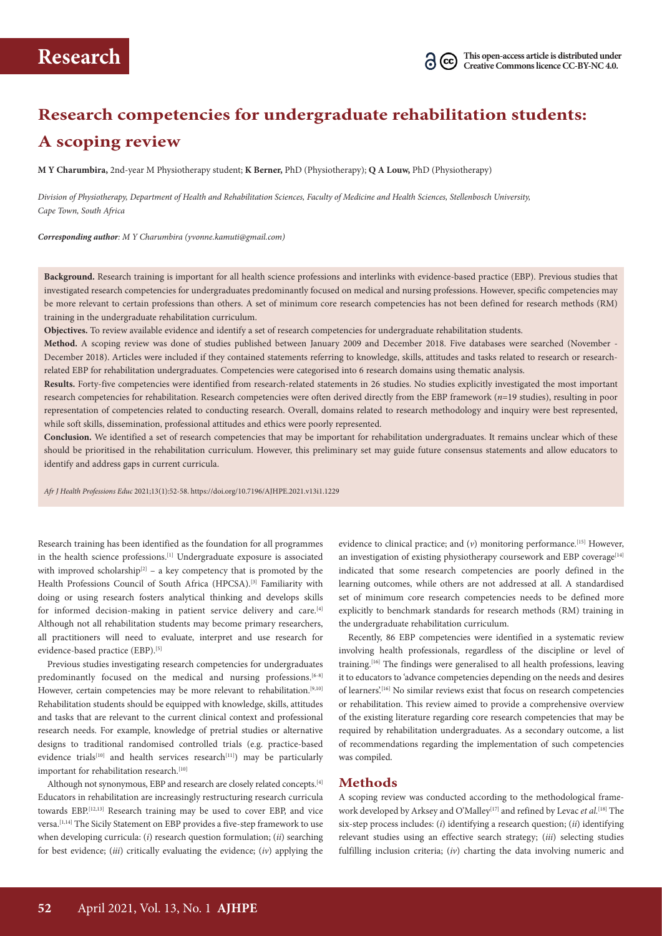# **Research competencies for undergraduate rehabilitation students: A scoping review**

**M Y Charumbira,** 2nd-year M Physiotherapy student; **K Berner,** PhD (Physiotherapy); **Q A Louw,** PhD (Physiotherapy)

*Division of Physiotherapy, Department of Health and Rehabilitation Sciences, Faculty of Medicine and Health Sciences, Stellenbosch University, Cape Town, South Africa* 

*Corresponding author: M Y Charumbira (yvonne.kamuti@gmail.com)*

**Background.** Research training is important for all health science professions and interlinks with evidence-based practice (EBP). Previous studies that investigated research competencies for undergraduates predominantly focused on medical and nursing professions. However, specific competencies may be more relevant to certain professions than others. A set of minimum core research competencies has not been defined for research methods (RM) training in the undergraduate rehabilitation curriculum.

**Objectives.** To review available evidence and identify a set of research competencies for undergraduate rehabilitation students.

**Method.** A scoping review was done of studies published between January 2009 and December 2018. Five databases were searched (November - December 2018). Articles were included if they contained statements referring to knowledge, skills, attitudes and tasks related to research or researchrelated EBP for rehabilitation undergraduates. Competencies were categorised into 6 research domains using thematic analysis.

**Results.** Forty-five competencies were identified from research-related statements in 26 studies. No studies explicitly investigated the most important research competencies for rehabilitation. Research competencies were often derived directly from the EBP framework (*n*=19 studies), resulting in poor representation of competencies related to conducting research. Overall, domains related to research methodology and inquiry were best represented, while soft skills, dissemination, professional attitudes and ethics were poorly represented.

**Conclusion.** We identified a set of research competencies that may be important for rehabilitation undergraduates. It remains unclear which of these should be prioritised in the rehabilitation curriculum. However, this preliminary set may guide future consensus statements and allow educators to identify and address gaps in current curricula.

*Afr J Health Professions Educ* 2021;13(1):52-58. https://doi.org/10.7196/AJHPE.2021.v13i1.1229

Research training has been identified as the foundation for all programmes in the health science professions.<sup>[1]</sup> Undergraduate exposure is associated with improved scholarship<sup>[2]</sup> – a key competency that is promoted by the Health Professions Council of South Africa (HPCSA).<sup>[3]</sup> Familiarity with doing or using research fosters analytical thinking and develops skills for informed decision-making in patient service delivery and care.<sup>[4]</sup> Although not all rehabilitation students may become primary researchers, all practitioners will need to evaluate, interpret and use research for evidence-based practice (EBP).<sup>[5]</sup>

Previous studies investigating research competencies for undergraduates predominantly focused on the medical and nursing professions.<sup>[6-8]</sup> However, certain competencies may be more relevant to rehabilitation.<sup>[9,10]</sup> Rehabilitation students should be equipped with knowledge, skills, attitudes and tasks that are relevant to the current clinical context and professional research needs. For example, knowledge of pretrial studies or alternative designs to traditional randomised controlled trials (e.g. practice-based evidence trials<sup>[10]</sup> and health services research<sup>[11]</sup>) may be particularly important for rehabilitation research.<sup>[10]</sup>

Although not synonymous, EBP and research are closely related concepts.<sup>[4]</sup> Educators in rehabilitation are increasingly restructuring research curricula towards EBP.[12,13] Research training may be used to cover EBP, and vice versa.<sup>[1,14]</sup> The Sicily Statement on EBP provides a five-step framework to use when developing curricula: (*i*) research question formulation; (*ii*) searching for best evidence; (*iii*) critically evaluating the evidence; (*iv*) applying the evidence to clinical practice; and  $(v)$  monitoring performance.<sup>[15]</sup> However, an investigation of existing physiotherapy coursework and EBP coverage<sup>[14]</sup> indicated that some research competencies are poorly defined in the learning outcomes, while others are not addressed at all. A standardised set of minimum core research competencies needs to be defined more explicitly to benchmark standards for research methods (RM) training in the undergraduate rehabilitation curriculum.

Recently, 86 EBP competencies were identified in a systematic review involving health professionals, regardless of the discipline or level of training.[16] The findings were generalised to all health professions, leaving it to educators to 'advance competencies depending on the needs and desires of learners'.[16] No similar reviews exist that focus on research competencies or rehabilitation. This review aimed to provide a comprehensive overview of the existing literature regarding core research competencies that may be required by rehabilitation undergraduates. As a secondary outcome, a list of recommendations regarding the implementation of such competencies was compiled.

## **Methods**

A scoping review was conducted according to the methodological framework developed by Arksey and O'Malley<sup>[17]</sup> and refined by Levac *et al.*<sup>[18]</sup> The six-step process includes: (*i*) identifying a research question; (*ii*) identifying relevant studies using an effective search strategy; (*iii*) selecting studies fulfilling inclusion criteria; (*iv*) charting the data involving numeric and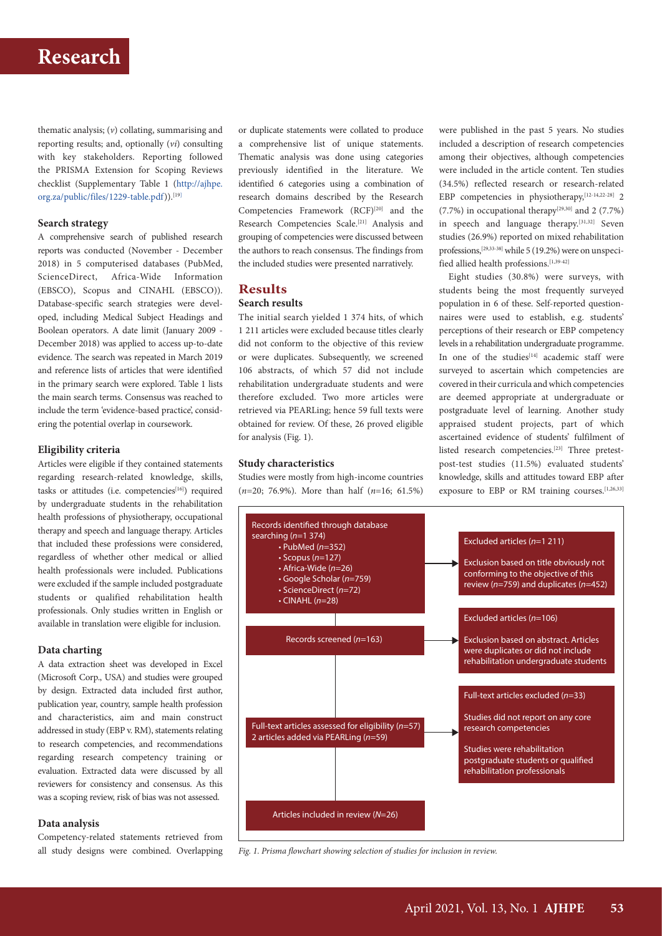## **Research**

thematic analysis; (*v*) collating, summarising and reporting results; and, optionally (*vi*) consulting with key stakeholders. Reporting followed the PRISMA Extension for Scoping Reviews checklist (Supplementary Table 1 ([http://ajhpe.](http://ajhpe.org.za/public/files/1229-table.pdf) [org.za/public/files/1229-table.pdf\)](http://ajhpe.org.za/public/files/1229-table.pdf)).<sup>[19]</sup>

## **Search strategy**

A comprehensive search of published research reports was conducted (November - December 2018) in 5 computerised databases (PubMed, ScienceDirect, Africa-Wide Information (EBSCO), Scopus and CINAHL (EBSCO)). Database-specific search strategies were developed, including Medical Subject Headings and Boolean operators. A date limit (January 2009 - December 2018) was applied to access up-to-date evidence. The search was repeated in March 2019 and reference lists of articles that were identified in the primary search were explored. Table 1 lists the main search terms. Consensus was reached to include the term 'evidence-based practice', considering the potential overlap in coursework.

#### **Eligibility criteria**

Articles were eligible if they contained statements regarding research-related knowledge, skills, tasks or attitudes (i.e. competencies<sup>[16]</sup>) required by undergraduate students in the rehabilitation health professions of physiotherapy, occupational therapy and speech and language therapy. Articles that included these professions were considered, regardless of whether other medical or allied health professionals were included. Publications were excluded if the sample included postgraduate students or qualified rehabilitation health professionals. Only studies written in English or available in translation were eligible for inclusion.

#### **Data charting**

A data extraction sheet was developed in Excel (Microsoft Corp., USA) and studies were grouped by design. Extracted data included first author, publication year, country, sample health profession and characteristics, aim and main construct addressed in study (EBP v. RM), statements relating to research competencies, and recommendations regarding research competency training or evaluation. Extracted data were discussed by all reviewers for consistency and consensus. As this was a scoping review, risk of bias was not assessed.

### **Data analysis**

Competency-related statements retrieved from all study designs were combined. Overlapping or duplicate statements were collated to produce a comprehensive list of unique statements. Thematic analysis was done using categories previously identified in the literature. We identified 6 categories using a combination of research domains described by the Research Competencies Framework (RCF)<sup>[20]</sup> and the Research Competencies Scale.<sup>[21]</sup> Analysis and grouping of competencies were discussed between the authors to reach consensus. The findings from the included studies were presented narratively.

### **Results Search results**

The initial search yielded 1 374 hits, of which 1 211 articles were excluded because titles clearly did not conform to the objective of this review or were duplicates. Subsequently, we screened 106 abstracts, of which 57 did not include rehabilitation undergraduate students and were therefore excluded. Two more articles were retrieved via PEARLing; hence 59 full texts were obtained for review. Of these, 26 proved eligible for analysis (Fig. 1).

#### **Study characteristics**

Studies were mostly from high-income countries (*n=*20; 76.9%). More than half (*n*=16; 61.5%) were published in the past 5 years. No studies included a description of research competencies among their objectives, although competencies were included in the article content. Ten studies (34.5%) reflected research or research-related EBP competencies in physiotherapy,<sup>[12-14,22-28]</sup> 2  $(7.7\%)$  in occupational therapy<sup>[29,30]</sup> and 2 (7.7%) in speech and language therapy.[31,32] Seven studies (26.9%) reported on mixed rehabilitation professions,[29,33-38] while 5 (19.2%) were on unspeci fied allied health professions.[1,39-42]

Eight studies (30.8%) were surveys, with students being the most frequently surveyed population in 6 of these. Self-reported questionnaires were used to establish, e.g. students' perceptions of their research or EBP competency levels in a rehabilitation undergraduate programme. In one of the studies<sup>[14]</sup> academic staff were surveyed to ascertain which competencies are covered in their curricula and which competencies are deemed appropriate at undergraduate or postgraduate level of learning. Another study appraised student projects, part of which ascertained evidence of students' fulfilment of listed research competencies.[23] Three pretestpost-test studies (11.5%) evaluated students' knowledge, skills and attitudes toward EBP after exposure to EBP or RM training courses.<sup>[1,26,33]</sup>



*Fig. 1. Prisma flowchart showing selection of studies for inclusion in review.*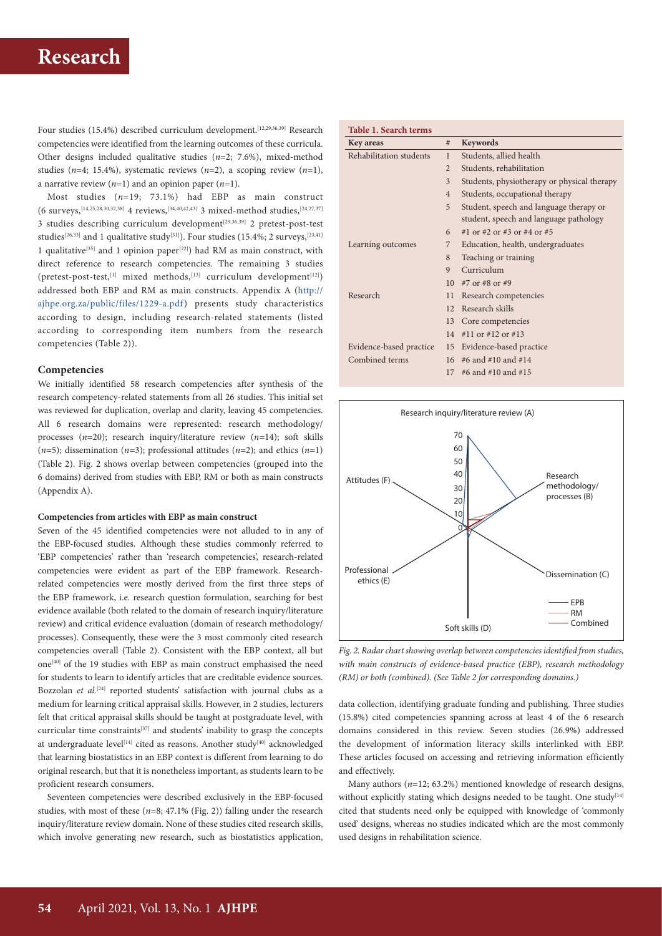Four studies (15.4%) described curriculum development.<sup>[12,29,36,39]</sup> Research competencies were identified from the learning outcomes of these curricula. Other designs included qualitative studies (*n*=2; 7.6%), mixed-method studies (*n*=4; 15.4%), systematic reviews (*n*=2), a scoping review (*n=*1), a narrative review (*n=*1) and an opinion paper (*n=*1).

Most studies (*n*=19; 73.1%) had EBP as main construct (6 surveys,[14,25,28,30,32,38] 4 reviews,[34,40,42,43] 3 mixed-method studies,[24,27,37] 3 studies describing curriculum development<sup>[29,36,39]</sup> 2 pretest-post-test studies<sup>[26,33]</sup> and 1 qualitative study<sup>[31]</sup>). Four studies (15.4%; 2 surveys,<sup>[23,41]</sup> 1 qualitative<sup>[35]</sup> and 1 opinion paper<sup>[22]</sup>) had RM as main construct, with direct reference to research competencies. The remaining 3 studies (pretest-post-test,<sup>[1]</sup> mixed methods,<sup>[13]</sup> curriculum development<sup>[12]</sup>) addressed both EBP and RM as main constructs. Appendix A ([http://](http://ajhpe.org.za/public/files/1229-a.pdf) [ajhpe.org.za/public/files/1229-a.pdf\)](http://ajhpe.org.za/public/files/1229-a.pdf) presents study characteristics according to design, including research-related statements (listed according to corresponding item numbers from the research competencies (Table 2)).

#### **Competencies**

We initially identified 58 research competencies after synthesis of the research competency-related statements from all 26 studies. This initial set was reviewed for duplication, overlap and clarity, leaving 45 competencies. All 6 research domains were represented: research methodology/ processes (*n=*20); research inquiry/literature review (*n=*14); soft skills (*n=*5); dissemination (*n=*3); professional attitudes (*n=*2); and ethics (*n=*1) (Table 2). Fig. 2 shows overlap between competencies (grouped into the 6 domains) derived from studies with EBP, RM or both as main constructs (Appendix A).

#### **Competencies from articles with EBP as main construct**

Seven of the 45 identified competencies were not alluded to in any of the EBP-focused studies. Although these studies commonly referred to 'EBP competencies' rather than 'research competencies', research-related competencies were evident as part of the EBP framework. Researchrelated competencies were mostly derived from the first three steps of the EBP framework, i.e. research question formulation, searching for best evidence available (both related to the domain of research inquiry/literature review) and critical evidence evaluation (domain of research methodology/ processes). Consequently, these were the 3 most commonly cited research competencies overall (Table 2). Consistent with the EBP context, all but one<sup>[40]</sup> of the 19 studies with EBP as main construct emphasised the need for students to learn to identify articles that are creditable evidence sources. Bozzolan *et al.*<sup>[24]</sup> reported students' satisfaction with journal clubs as a medium for learning critical appraisal skills. However, in 2 studies, lecturers felt that critical appraisal skills should be taught at postgraduate level, with curricular time constraints<sup>[37]</sup> and students' inability to grasp the concepts at undergraduate level<sup>[14]</sup> cited as reasons. Another study<sup>[40]</sup> acknowledged that learning biostatistics in an EBP context is different from learning to do original research, but that it is nonetheless important, as students learn to be proficient research consumers.

Seventeen competencies were described exclusively in the EBP-focused studies, with most of these (*n*=8; 47.1% (Fig. 2)) falling under the research inquiry/literature review domain. None of these studies cited research skills, which involve generating new research, such as biostatistics application,

| <b>Table 1. Search terms</b> |                 |                                             |
|------------------------------|-----------------|---------------------------------------------|
| <b>Key areas</b>             | #               | Keywords                                    |
| Rehabilitation students      | 1               | Students, allied health                     |
|                              | $\overline{2}$  | Students, rehabilitation                    |
|                              | 3               | Students, physiotherapy or physical therapy |
|                              | $\overline{4}$  | Students, occupational therapy              |
|                              | 5               | Student, speech and language therapy or     |
|                              |                 | student, speech and language pathology      |
|                              | 6               | #1 or #2 or #3 or #4 or #5                  |
| Learning outcomes            | 7               | Education, health, undergraduates           |
|                              | 8               | Teaching or training                        |
|                              | 9               | Curriculum                                  |
|                              | 10 <sup>1</sup> | #7 or #8 or #9                              |
| Research                     | 11              | Research competencies                       |
|                              | 12.             | Research skills                             |
|                              | 13              | Core competencies                           |
|                              | 14              | #11 or #12 or #13                           |
| Evidence-based practice      | 15              | Evidence-based practice                     |
| Combined terms               | 16              | #6 and #10 and #14                          |
|                              | 17              | #6 and #10 and #15                          |



*Fig. 2. Radar chart showing overlap between competencies identified from studies, with main constructs of evidence-based practice (EBP), research methodology (RM) or both (combined). (See Table 2 for corresponding domains.)*

data collection, identifying graduate funding and publishing. Three studies (15.8%) cited competencies spanning across at least 4 of the 6 research domains considered in this review. Seven studies (26.9%) addressed the development of information literacy skills interlinked with EBP. These articles focused on accessing and retrieving information efficiently and effectively.

Many authors (*n*=12; 63.2%) mentioned knowledge of research designs, without explicitly stating which designs needed to be taught. One study<sup>[14]</sup> cited that students need only be equipped with knowledge of 'commonly used' designs, whereas no studies indicated which are the most commonly used designs in rehabilitation science.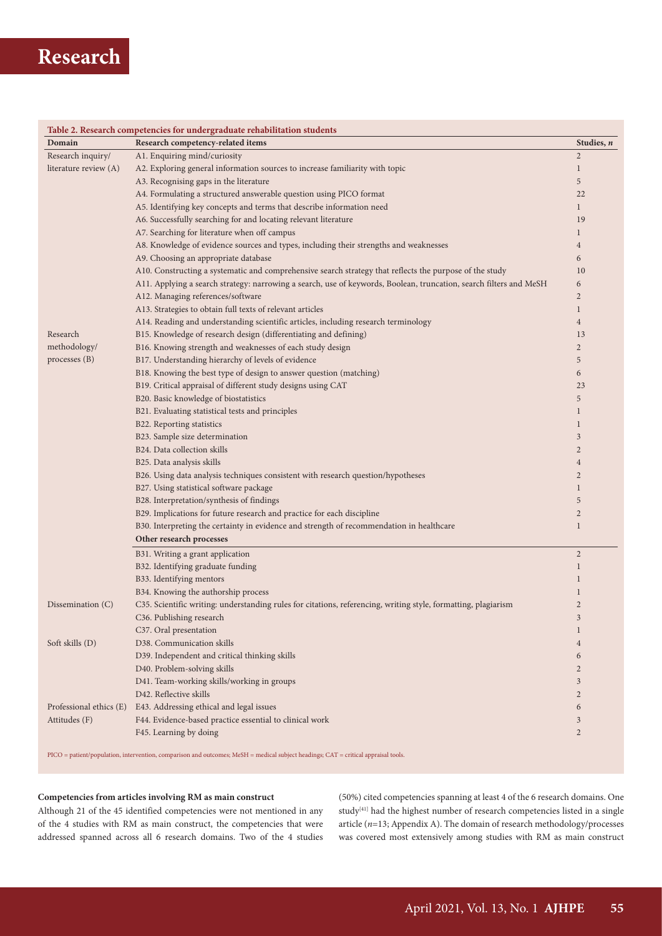# **Research**

|                         | Table 2. Research competencies for undergraduate rehabilitation students                                                           |                |
|-------------------------|------------------------------------------------------------------------------------------------------------------------------------|----------------|
| Domain                  | Research competency-related items                                                                                                  | Studies, n     |
| Research inquiry/       | A1. Enquiring mind/curiosity                                                                                                       | $\overline{2}$ |
| literature review (A)   | A2. Exploring general information sources to increase familiarity with topic                                                       | $\mathbf{1}$   |
|                         | A3. Recognising gaps in the literature                                                                                             | 5              |
|                         | A4. Formulating a structured answerable question using PICO format                                                                 | 22             |
|                         | A5. Identifying key concepts and terms that describe information need                                                              | $\mathbf{1}$   |
|                         | A6. Successfully searching for and locating relevant literature                                                                    | 19             |
|                         | A7. Searching for literature when off campus                                                                                       | $\mathbf{1}$   |
|                         | A8. Knowledge of evidence sources and types, including their strengths and weaknesses                                              | $\overline{4}$ |
|                         | A9. Choosing an appropriate database                                                                                               | 6              |
|                         | A10. Constructing a systematic and comprehensive search strategy that reflects the purpose of the study                            | 10             |
|                         | A11. Applying a search strategy: narrowing a search, use of keywords, Boolean, truncation, search filters and MeSH                 | 6              |
|                         | A12. Managing references/software                                                                                                  | $\overline{2}$ |
|                         | A13. Strategies to obtain full texts of relevant articles                                                                          | $\mathbf{1}$   |
|                         | A14. Reading and understanding scientific articles, including research terminology                                                 | $\overline{4}$ |
| Research                | B15. Knowledge of research design (differentiating and defining)                                                                   | 13             |
| methodology/            | B16. Knowing strength and weaknesses of each study design                                                                          | $\overline{2}$ |
| processes (B)           | B17. Understanding hierarchy of levels of evidence                                                                                 | 5              |
|                         | B18. Knowing the best type of design to answer question (matching)                                                                 | 6              |
|                         | B19. Critical appraisal of different study designs using CAT                                                                       | 23             |
|                         | B20. Basic knowledge of biostatistics                                                                                              | 5              |
|                         | B21. Evaluating statistical tests and principles                                                                                   | $\mathbf{1}$   |
|                         | B22. Reporting statistics                                                                                                          | $\mathbf{1}$   |
|                         | B23. Sample size determination                                                                                                     | $\mathfrak{Z}$ |
|                         | B24. Data collection skills                                                                                                        | $\overline{2}$ |
|                         | B25. Data analysis skills                                                                                                          | $\overline{4}$ |
|                         | B26. Using data analysis techniques consistent with research question/hypotheses                                                   | $\overline{2}$ |
|                         | B27. Using statistical software package                                                                                            | $\mathbf{1}$   |
|                         | B28. Interpretation/synthesis of findings                                                                                          | 5              |
|                         | B29. Implications for future research and practice for each discipline                                                             | $\overline{2}$ |
|                         | B30. Interpreting the certainty in evidence and strength of recommendation in healthcare                                           | $\mathbf{1}$   |
|                         | Other research processes                                                                                                           |                |
|                         | B31. Writing a grant application                                                                                                   | $\overline{2}$ |
|                         | B32. Identifying graduate funding                                                                                                  | $\mathbf{1}$   |
|                         | B33. Identifying mentors                                                                                                           | $\mathbf{1}$   |
|                         | B34. Knowing the authorship process                                                                                                | $\mathbf{1}$   |
| Dissemination (C)       | C35. Scientific writing: understanding rules for citations, referencing, writing style, formatting, plagiarism                     | $\overline{2}$ |
|                         | C36. Publishing research                                                                                                           | $\overline{3}$ |
|                         | C37. Oral presentation                                                                                                             | $\mathbf{1}$   |
| Soft skills (D)         | D38. Communication skills                                                                                                          | $\overline{4}$ |
|                         | D39. Independent and critical thinking skills                                                                                      | 6              |
|                         | D40. Problem-solving skills                                                                                                        | $\overline{2}$ |
|                         | D41. Team-working skills/working in groups                                                                                         | $\mathfrak{Z}$ |
|                         | D42. Reflective skills                                                                                                             | $\overline{2}$ |
| Professional ethics (E) | E43. Addressing ethical and legal issues                                                                                           | 6              |
| Attitudes (F)           | F44. Evidence-based practice essential to clinical work                                                                            | 3              |
|                         | F45. Learning by doing                                                                                                             | $\overline{2}$ |
|                         |                                                                                                                                    |                |
|                         | PICO = patient/population, intervention, comparison and outcomes; MeSH = medical subject headings; CAT = critical appraisal tools. |                |

## **Competencies from articles involving RM as main construct**

Although 21 of the 45 identified competencies were not mentioned in any of the 4 studies with RM as main construct, the competencies that were addressed spanned across all 6 research domains. Two of the 4 studies (50%) cited competencies spanning at least 4 of the 6 research domains. One study<sup>[41]</sup> had the highest number of research competencies listed in a single article (*n*=13; Appendix A). The domain of research methodology/processes was covered most extensively among studies with RM as main construct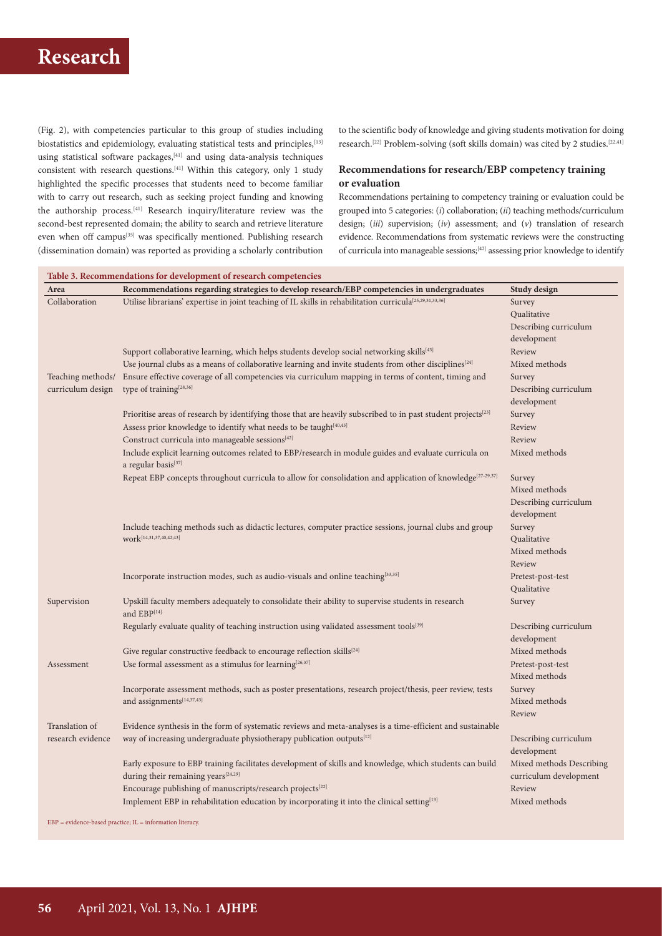(Fig. 2), with competencies particular to this group of studies including biostatistics and epidemiology, evaluating statistical tests and principles, [13] using statistical software packages,[41] and using data-analysis techniques consistent with research questions.<sup>[41]</sup> Within this category, only 1 study highlighted the specific processes that students need to become familiar with to carry out research, such as seeking project funding and knowing the authorship process.[41] Research inquiry/literature review was the second-best represented domain; the ability to search and retrieve literature even when off campus<sup>[35]</sup> was specifically mentioned. Publishing research (dissemination domain) was reported as providing a scholarly contribution to the scientific body of knowledge and giving students motivation for doing research.[22] Problem-solving (soft skills domain) was cited by 2 studies.[22,41]

## **Recommendations for research/EBP competency training or evaluation**

Recommendations pertaining to competency training or evaluation could be grouped into 5 categories: (*i*) collaboration; (*ii*) teaching methods/curriculum design; (*iii*) supervision; (*iv*) assessment; and (*v*) translation of research evidence. Recommendations from systematic reviews were the constructing of curricula into manageable sessions;[42] assessing prior knowledge to identify

| Area                            | Recommendations regarding strategies to develop research/EBP competencies in undergraduates                               | Study design                            |
|---------------------------------|---------------------------------------------------------------------------------------------------------------------------|-----------------------------------------|
| Collaboration                   | Utilise librarians' expertise in joint teaching of IL skills in rehabilitation curricula <sup>[25,29,31,33,36]</sup>      | Survey                                  |
|                                 |                                                                                                                           | Qualitative                             |
|                                 |                                                                                                                           | Describing curriculum                   |
|                                 |                                                                                                                           | development                             |
|                                 | Support collaborative learning, which helps students develop social networking skills <sup>[43]</sup>                     | Review                                  |
|                                 | Use journal clubs as a means of collaborative learning and invite students from other disciplines <sup>[24]</sup>         | Mixed methods                           |
| Teaching methods/               | Ensure effective coverage of all competencies via curriculum mapping in terms of content, timing and                      | Survey                                  |
| curriculum design               | type of training <sup>[28,36]</sup>                                                                                       | Describing curriculum                   |
|                                 |                                                                                                                           | development                             |
|                                 | Prioritise areas of research by identifying those that are heavily subscribed to in past student projects <sup>[23]</sup> | Survey                                  |
|                                 | Assess prior knowledge to identify what needs to be taught[40,43]                                                         | Review                                  |
|                                 | Construct curricula into manageable sessions[42]                                                                          | Review                                  |
| a regular basis <sup>[37]</sup> | Include explicit learning outcomes related to EBP/research in module guides and evaluate curricula on                     | Mixed methods                           |
|                                 | Repeat EBP concepts throughout curricula to allow for consolidation and application of knowledge <sup>[27-29,37]</sup>    | Survey                                  |
|                                 |                                                                                                                           | Mixed methods                           |
|                                 |                                                                                                                           | Describing curriculum                   |
|                                 |                                                                                                                           | development                             |
|                                 | Include teaching methods such as didactic lectures, computer practice sessions, journal clubs and group                   | Survey                                  |
|                                 | work[14,31,37,40,42,43]                                                                                                   | Qualitative                             |
|                                 |                                                                                                                           | Mixed methods                           |
|                                 |                                                                                                                           | Review                                  |
|                                 | Incorporate instruction modes, such as audio-visuals and online teaching <sup>[33,35]</sup>                               | Pretest-post-test                       |
|                                 |                                                                                                                           | Qualitative                             |
| Supervision                     | Upskill faculty members adequately to consolidate their ability to supervise students in research                         | Survey                                  |
|                                 | and EBP[14]                                                                                                               |                                         |
|                                 | Regularly evaluate quality of teaching instruction using validated assessment tools <sup>[39]</sup>                       | Describing curriculum                   |
|                                 |                                                                                                                           | development                             |
|                                 | Give regular constructive feedback to encourage reflection skills <sup>[24]</sup>                                         | Mixed methods                           |
| Assessment                      | Use formal assessment as a stimulus for learning $[26,37]$                                                                | Pretest-post-test                       |
|                                 |                                                                                                                           | Mixed methods                           |
|                                 | Incorporate assessment methods, such as poster presentations, research project/thesis, peer review, tests                 | Survey                                  |
|                                 | and assignments[14,37,43]                                                                                                 | Mixed methods                           |
|                                 |                                                                                                                           | Review                                  |
| Translation of                  | Evidence synthesis in the form of systematic reviews and meta-analyses is a time-efficient and sustainable                |                                         |
| research evidence               | way of increasing undergraduate physiotherapy publication outputs <sup>[12]</sup>                                         | Describing curriculum                   |
|                                 |                                                                                                                           |                                         |
|                                 |                                                                                                                           | development<br>Mixed methods Describing |
|                                 | Early exposure to EBP training facilitates development of skills and knowledge, which students can build                  |                                         |
|                                 | during their remaining years <sup>[24,29]</sup>                                                                           | curriculum development                  |
|                                 | Encourage publishing of manuscripts/research projects <sup>[22]</sup>                                                     | Review                                  |
|                                 | Implement EBP in rehabilitation education by incorporating it into the clinical setting[13]                               | Mixed methods                           |

 $EBP = evidence-based practice; IL = information literature;$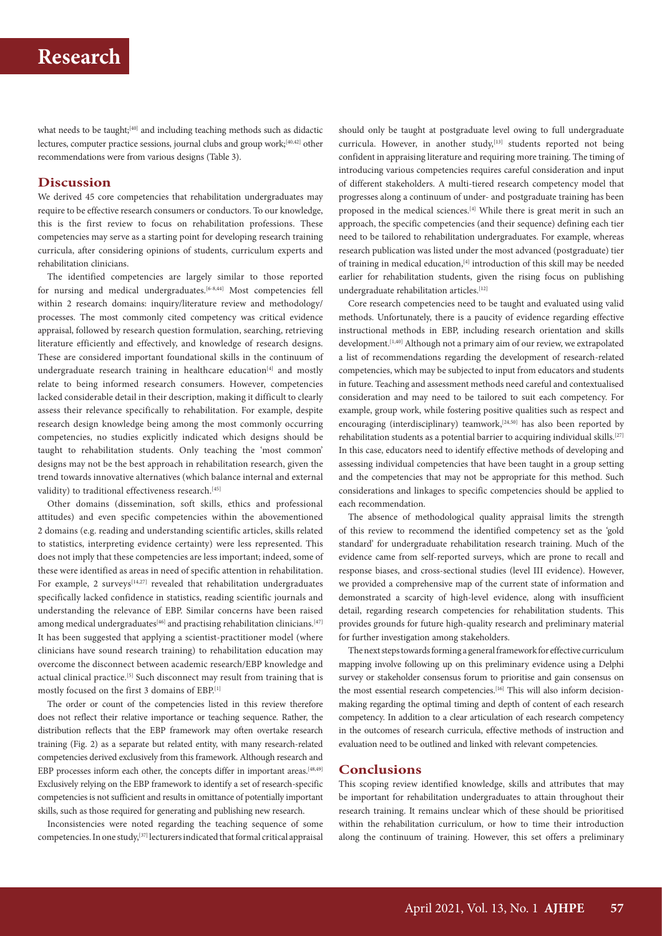what needs to be taught;<sup>[40]</sup> and including teaching methods such as didactic lectures, computer practice sessions, journal clubs and group work;<sup>[40,42]</sup> other recommendations were from various designs (Table 3).

## **Discussion**

We derived 45 core competencies that rehabilitation undergraduates may require to be effective research consumers or conductors. To our knowledge, this is the first review to focus on rehabilitation professions. These competencies may serve as a starting point for developing research training curricula, after considering opinions of students, curriculum experts and rehabilitation clinicians.

The identified competencies are largely similar to those reported for nursing and medical undergraduates.<sup>[6-8,44]</sup> Most competencies fell within 2 research domains: inquiry/literature review and methodology/ processes. The most commonly cited competency was critical evidence appraisal, followed by research question formulation, searching, retrieving literature efficiently and effectively, and knowledge of research designs. These are considered important foundational skills in the continuum of undergraduate research training in healthcare education<sup>[4]</sup> and mostly relate to being informed research consumers. However, competencies lacked considerable detail in their description, making it difficult to clearly assess their relevance specifically to rehabilitation. For example, despite research design knowledge being among the most commonly occurring competencies, no studies explicitly indicated which designs should be taught to rehabilitation students. Only teaching the 'most common' designs may not be the best approach in rehabilitation research, given the trend towards innovative alternatives (which balance internal and external validity) to traditional effectiveness research.<sup>[45]</sup>

Other domains (dissemination, soft skills, ethics and professional attitudes) and even specific competencies within the abovementioned 2 domains (e.g. reading and understanding scientific articles, skills related to statistics, interpreting evidence certainty) were less represented. This does not imply that these competencies are less important; indeed, some of these were identified as areas in need of specific attention in rehabilitation. For example, 2 surveys<sup>[14,27]</sup> revealed that rehabilitation undergraduates specifically lacked confidence in statistics, reading scientific journals and understanding the relevance of EBP. Similar concerns have been raised among medical undergraduates<sup>[46]</sup> and practising rehabilitation clinicians.<sup>[47]</sup> It has been suggested that applying a scientist-practitioner model (where clinicians have sound research training) to rehabilitation education may overcome the disconnect between academic research/EBP knowledge and actual clinical practice.<sup>[5]</sup> Such disconnect may result from training that is mostly focused on the first 3 domains of EBP.[1]

The order or count of the competencies listed in this review therefore does not reflect their relative importance or teaching sequence. Rather, the distribution reflects that the EBP framework may often overtake research training (Fig. 2) as a separate but related entity, with many research-related competencies derived exclusively from this framework. Although research and EBP processes inform each other, the concepts differ in important areas.<sup>[48,49]</sup> Exclusively relying on the EBP framework to identify a set of research-specific competencies is not sufficient and results in omittance of potentially important skills, such as those required for generating and publishing new research.

Inconsistencies were noted regarding the teaching sequence of some competencies. In one study,[37] lecturers indicated that formal critical appraisal

should only be taught at postgraduate level owing to full undergraduate curricula. However, in another study, $[13]$  students reported not being confident in appraising literature and requiring more training. The timing of introducing various competencies requires careful consideration and input of different stakeholders. A multi-tiered research competency model that progresses along a continuum of under- and postgraduate training has been proposed in the medical sciences.<sup>[4]</sup> While there is great merit in such an approach, the specific competencies (and their sequence) defining each tier need to be tailored to rehabilitation undergraduates. For example, whereas research publication was listed under the most advanced (postgraduate) tier of training in medical education,[4] introduction of this skill may be needed earlier for rehabilitation students, given the rising focus on publishing undergraduate rehabilitation articles.[12]

Core research competencies need to be taught and evaluated using valid methods. Unfortunately, there is a paucity of evidence regarding effective instructional methods in EBP, including research orientation and skills development.<sup>[1,40]</sup> Although not a primary aim of our review, we extrapolated a list of recommendations regarding the development of research-related competencies, which may be subjected to input from educators and students in future. Teaching and assessment methods need careful and contextualised consideration and may need to be tailored to suit each competency. For example, group work, while fostering positive qualities such as respect and encouraging (interdisciplinary) teamwork,<sup>[24,50]</sup> has also been reported by rehabilitation students as a potential barrier to acquiring individual skills.<sup>[27]</sup> In this case, educators need to identify effective methods of developing and assessing individual competencies that have been taught in a group setting and the competencies that may not be appropriate for this method. Such considerations and linkages to specific competencies should be applied to each recommendation.

The absence of methodological quality appraisal limits the strength of this review to recommend the identified competency set as the 'gold standard' for undergraduate rehabilitation research training. Much of the evidence came from self-reported surveys, which are prone to recall and response biases, and cross-sectional studies (level III evidence). However, we provided a comprehensive map of the current state of information and demonstrated a scarcity of high-level evidence, along with insufficient detail, regarding research competencies for rehabilitation students. This provides grounds for future high-quality research and preliminary material for further investigation among stakeholders.

The next steps towards forming a general framework for effective curriculum mapping involve following up on this preliminary evidence using a Delphi survey or stakeholder consensus forum to prioritise and gain consensus on the most essential research competencies.<sup>[16]</sup> This will also inform decisionmaking regarding the optimal timing and depth of content of each research competency. In addition to a clear articulation of each research competency in the outcomes of research curricula, effective methods of instruction and evaluation need to be outlined and linked with relevant competencies.

## **Conclusions**

This scoping review identified knowledge, skills and attributes that may be important for rehabilitation undergraduates to attain throughout their research training. It remains unclear which of these should be prioritised within the rehabilitation curriculum, or how to time their introduction along the continuum of training. However, this set offers a preliminary